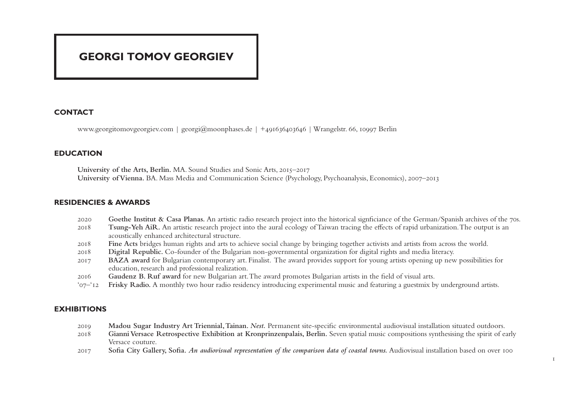# **GEORGI TOMOV GEORGIEV**

## **CONTACT**

www.georgitomovgeorgiev.com | georgi@moonphases.de | +491636403646 | Wrangelstr. 66, 10997 Berlin

## **EDUCATION**

**University of the Arts, Berlin.** MA. Sound Studies and Sonic Arts, 2015–2017 **University of Vienna.** BA. Mass Media and Communication Science (Psychology, Psychoanalysis, Economics), 2007–2013

#### **RESIDENCIES & AWARDS**

- 2020 **Goethe Institut & Casa Planas.** An artistic radio research project into the historical signficiance of the German/Spanish archives of the 70s.
- 2018 **Tsung-Yeh AiR.** An artistic research project into the aural ecology of Taiwan tracing the effects of rapid urbanization. The output is an acoustically enhanced architectural structure.
- 2018 **Fine Acts** bridges human rights and arts to achieve social change by bringing together activists and artists from across the world.
- 2018 **Digital Republic.** Co-founder of the Bulgarian non-governmental organization for digital rights and media literacy.
- 2017 **BAZA award** for Bulgarian contemporary art. Finalist. The award provides support for young artists opening up new possibilities for education, research and professional realization.
- 2016 **Gaudenz B. Ruf award** for new Bulgarian art. The award promotes Bulgarian artists in the field of visual arts.
- '07–'12 **Frisky Radio.** A monthly two hour radio residency introducing experimental music and featuring a guestmix by underground artists.

## **EXHIBITIONS**

- 2019 **Madou Sugar Industry Art Triennial, Tainan.** *Nest.* Permanent site-specific environmental audiovisual installation situated outdoors.
- 2018 **Gianni Versace Retrospective Exhibition at Kronprinzenpalais, Berlin.** Seven spatial music compositions synthesising the spirit of early Versace couture.
- 2017 **Sofia City Gallery, Sofia.** *An audiovisual representation of the comparison data of coastal towns.* Audiovisual installation based on over 100